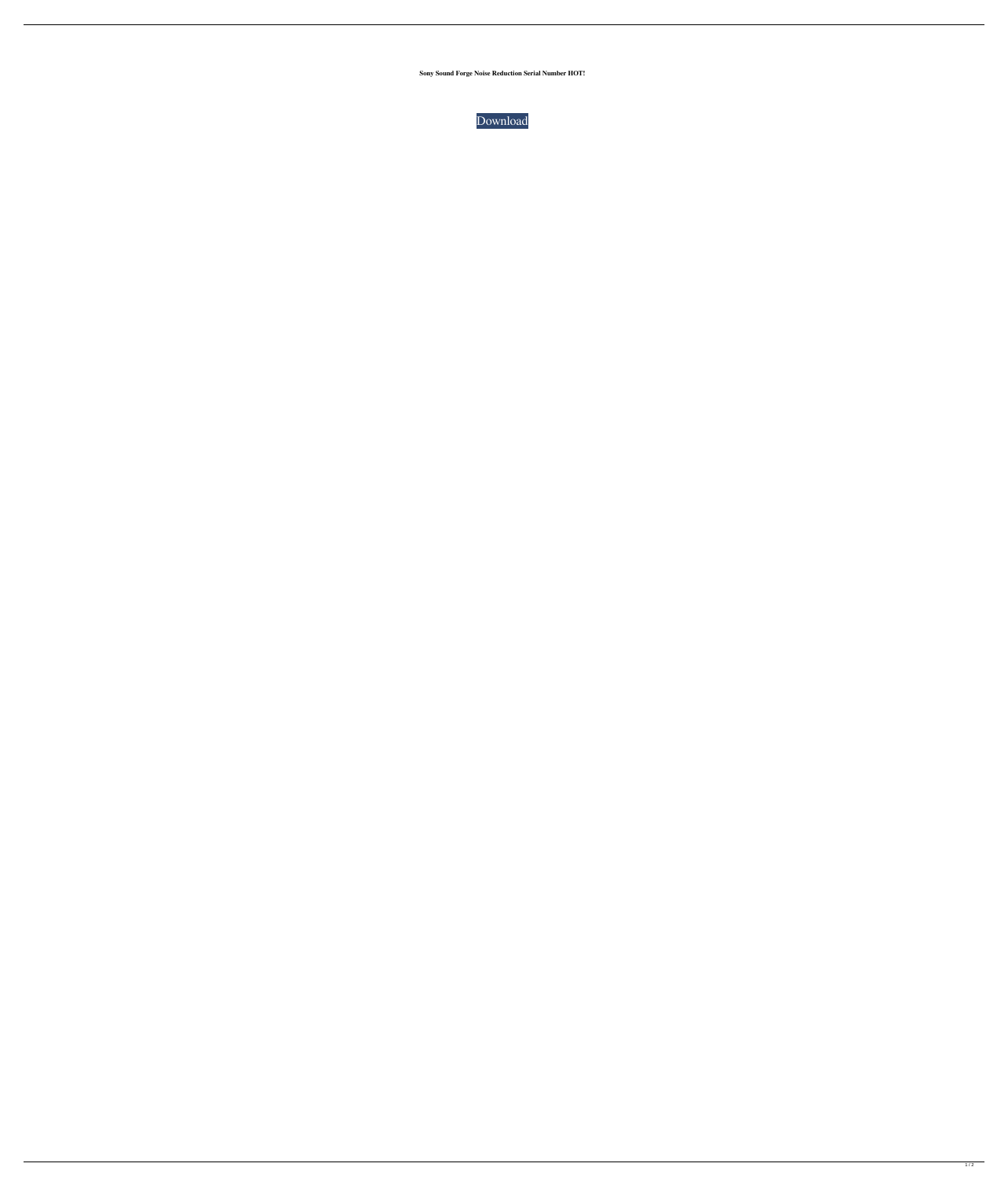**Sony Sound Forge Noise Reduction Serial Number HOT!**